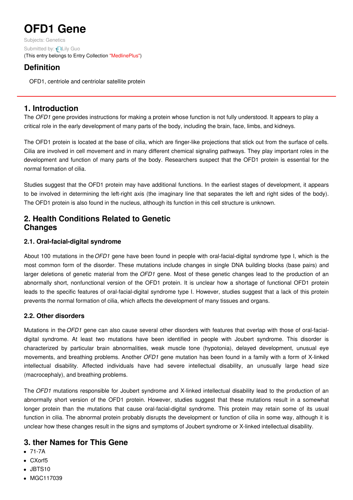# **OFD1 Gene**

Subjects: [Genetics](https://encyclopedia.pub/item/subject/56) Submitted by: Lily [Guo](https://sciprofiles.com/profile/1177833) (This entry belongs to Entry Collection ["MedlinePlus"](https://encyclopedia.pub/entry/collection/24))

# **Definition**

OFD1, centriole and centriolar satellite protein

## **1. Introduction**

The *OFD1* gene provides instructions for making a protein whose function is not fully understood. It appears to play a critical role in the early development of many parts of the body, including the brain, face, limbs, and kidneys.

The OFD1 protein is located at the base of cilia, which are finger-like projections that stick out from the surface of cells. Cilia are involved in cell movement and in many different chemical signaling pathways. They play important roles in the development and function of many parts of the body. Researchers suspect that the OFD1 protein is essential for the normal formation of cilia.

Studies suggest that the OFD1 protein may have additional functions. In the earliest stages of development, it appears to be involved in determining the left-right axis (the imaginary line that separates the left and right sides of the body). The OFD1 protein is also found in the nucleus, although its function in this cell structure is unknown.

## **2. Health Conditions Related to Genetic Changes**

## **2.1. Oral-facial-digital syndrome**

About 100 mutations in the*OFD1* gene have been found in people with oral-facial-digital syndrome type I, which is the most common form of the disorder. These mutations include changes in single DNA building blocks (base pairs) and larger deletions of genetic material from the *OFD1* gene. Most of these genetic changes lead to the production of an abnormally short, nonfunctional version of the OFD1 protein. It is unclear how a shortage of functional OFD1 protein leads to the specific features of oral-facial-digital syndrome type I. However, studies suggest that a lack of this protein prevents the normal formation of cilia, which affects the development of many tissues and organs.

## **2.2. Other disorders**

Mutations in the*OFD1* gene can also cause several other disorders with features that overlap with those of oral-facialdigital syndrome. At least two mutations have been identified in people with Joubert syndrome. This disorder is characterized by particular brain abnormalities, weak muscle tone (hypotonia), delayed development, unusual eye movements, and breathing problems. Another *OFD1* gene mutation has been found in a family with a form of X-linked intellectual disability. Affected individuals have had severe intellectual disability, an unusually large head size (macrocephaly), and breathing problems.

The *OFD1* mutations responsible for Joubert syndrome and X-linked intellectual disability lead to the production of an abnormally short version of the OFD1 protein. However, studies suggest that these mutations result in a somewhat longer protein than the mutations that cause oral-facial-digital syndrome. This protein may retain some of its usual function in cilia. The abnormal protein probably disrupts the development or function of cilia in some way, although it is unclear how these changes result in the signs and symptoms of Joubert syndrome or X-linked intellectual disability.

## **3. ther Names for This Gene**

- 71-7A
- CXorf5
- JBTS10
- MGC117039